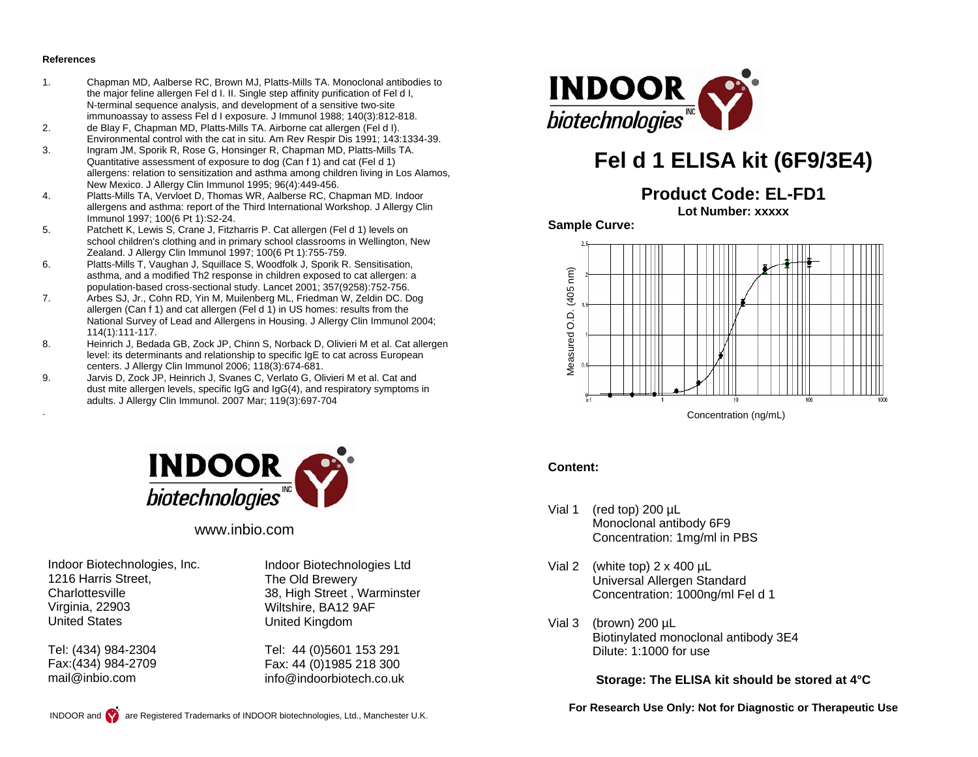#### **References**

.

- 1. Chapman MD, Aalberse RC, Brown MJ, Platts-Mills TA. Monoclonal antibodies to the major feline allergen Fel d I. II. Single step affinity purification of Fel d I, N-terminal sequence analysis, and development of a sensitive two-site immunoassay to assess Fel d I exposure. J Immunol 1988; 140(3):812-818.
- 2. de Blay F, Chapman MD, Platts-Mills TA. Airborne cat allergen (Fel d I). Environmental control with the cat in situ. Am Rev Respir Dis 1991; 143:1334-39.
- 3. Ingram JM, Sporik R, Rose G, Honsinger R, Chapman MD, Platts-Mills TA. Quantitative assessment of exposure to dog (Can f 1) and cat (Fel d 1) allergens: relation to sensitization and asthma among children living in Los Alamos, New Mexico. J Allergy Clin Immunol 1995; 96(4):449-456.<br>Platts-Mills TA. Vervloet D. Thomas WR. Aalberse RC. Ch
- 4. Platts-Mills TA, Vervloet D, Thomas WR, Aalberse RC, Chapman MD. Indoor allergens and asthma: report of the Third International Workshop. J Allergy Clin Immunol 1997; 100(6 Pt 1):S2-24.
- 5. Patchett K, Lewis S, Crane J, Fitzharris P. Cat allergen (Fel d 1) levels on school children's clothing and in primary school classrooms in Wellington, New Zealand. J Allergy Clin Immunol 1997; 100(6 Pt 1):755-759.
- 6. Platts-Mills T, Vaughan J, Squillace S, Woodfolk J, Sporik R. Sensitisation, asthma, and a modified Th2 response in children exposed to cat allergen: a population-based cross-sectional study. Lancet 2001; 357(9258):752-756.
- 7. Arbes SJ, Jr., Cohn RD, Yin M, Muilenberg ML, Friedman W, Zeldin DC. Dog allergen (Can f 1) and cat allergen (Fel d 1) in US homes: results from the National Survey of Lead and Allergens in Housing. J Allergy Clin Immunol 2004; 114(1):111-117.
- 8. Heinrich J, Bedada GB, Zock JP, Chinn S, Norback D, Olivieri M et al. Cat allergen level: its determinants and relationship to specific IgE to cat across European centers. J Allergy Clin Immunol 2006; 118(3):674-681.<br>Jarvis D. Zock JP. Heinrich J. Svanes C. Verlato G. Oli
- Jarvis D, Zock JP, Heinrich J, Svanes C, Verlato G, Olivieri M et al. Cat and dust mite allergen levels, specific IgG and IgG(4), and respiratory symptoms in adults. J Allergy Clin Immunol. 2007 Mar; 119(3):697-704



### www.inbio.com

Indoor Biotechnologies, Inc. 1216 Harris Street, **Charlottesville** Virginia, 22903 United States

Tel: (434) 984-2304 Fax:(434) 984-2709 mail@inbio.com

Indoor Biotechnologies Ltd The Old Brewery 38, High Street , Warminster Wiltshire, BA12 9AF United Kingdom

Tel: 44 (0)5601 153 291 Fax: 44 (0)1985 218 300 info@indoorbiotech.co.uk



# **Fel d 1 ELISA kit (6F9/3E4)**

**Product Code: EL-FD1**

**Lot Number: xxxxx** 

**Sample Curve:** 



#### **Content:**

- Vial 1 (red top) 200 µL Monoclonal antibody 6F9 Concentration: 1mg/ml in PBS
- Vial 2 (white top)  $2 \times 400 \mu L$  Universal Allergen Standard Concentration: 1000ng/ml Fel d 1
- Vial 3 (brown) 200 µL Biotinylated monoclonal antibody 3E4 Dilute: 1:1000 for use

**Storage: The ELISA kit should be stored at 4°C** 

**For Research Use Only: Not for Diagnostic or Therapeutic Use**